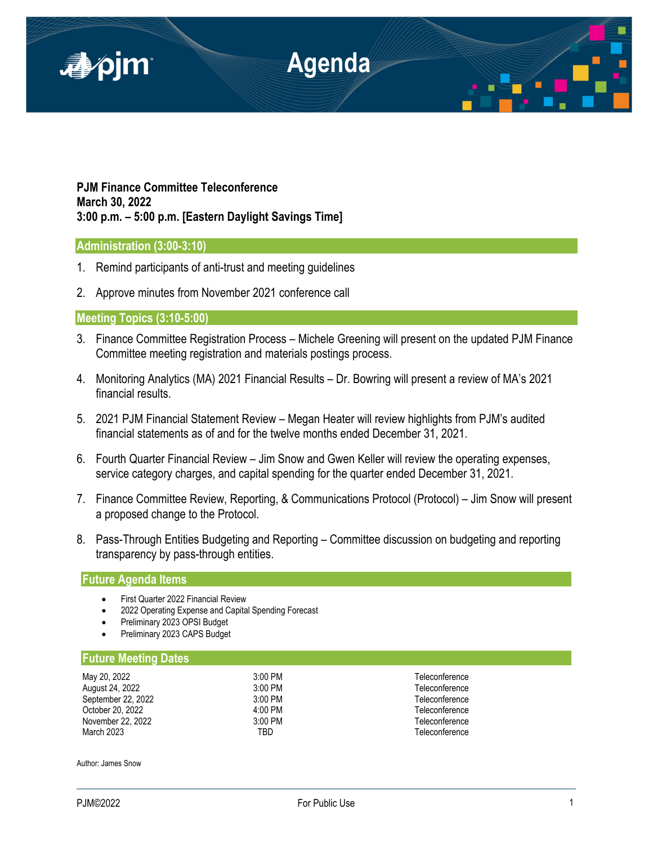

**PJM Finance Committee Teleconference March 30, 2022 3:00 p.m. – 5:00 p.m. [Eastern Daylight Savings Time]**

# **Administration (3:00-3:10)**

- 1. Remind participants of anti-trust and meeting guidelines
- 2. Approve minutes from November 2021 conference call

## **Meeting Topics (3:10-5:00)**

- 3. Finance Committee Registration Process Michele Greening will present on the updated PJM Finance Committee meeting registration and materials postings process.
- 4. Monitoring Analytics (MA) 2021 Financial Results Dr. Bowring will present a review of MA's 2021 financial results.
- 5. 2021 PJM Financial Statement Review Megan Heater will review highlights from PJM's audited financial statements as of and for the twelve months ended December 31, 2021.
- 6. Fourth Quarter Financial Review Jim Snow and Gwen Keller will review the operating expenses, service category charges, and capital spending for the quarter ended December 31, 2021.
- 7. Finance Committee Review, Reporting, & Communications Protocol (Protocol) Jim Snow will present a proposed change to the Protocol.
- 8. Pass-Through Entities Budgeting and Reporting Committee discussion on budgeting and reporting transparency by pass-through entities.

## **Future Agenda Items**

- First Quarter 2022 Financial Review
- 2022 Operating Expense and Capital Spending Forecast
- Preliminary 2023 OPSI Budget
- Preliminary 2023 CAPS Budget

### **Future Meeting Dates**

| May 20, 2022       | $3:00$ PM         | Teleconference |
|--------------------|-------------------|----------------|
| August 24, 2022    | $3:00$ PM         | Teleconference |
| September 22, 2022 | $3:00$ PM         | Teleconference |
| October 20, 2022   | $4:00 \text{ PM}$ | Teleconference |
| November 22, 2022  | $3:00$ PM         | Teleconference |
| March 2023         | TBD               | Teleconference |

Author: James Snow